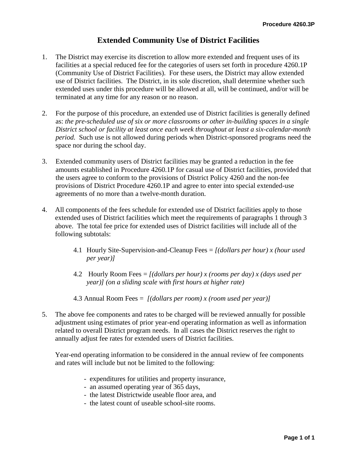## **Extended Community Use of District Facilities**

- 1. The District may exercise its discretion to allow more extended and frequent uses of its facilities at a special reduced fee for the categories of users set forth in procedure 4260.1P (Community Use of District Facilities). For these users, the District may allow extended use of District facilities. The District, in its sole discretion, shall determine whether such extended uses under this procedure will be allowed at all, will be continued, and/or will be terminated at any time for any reason or no reason.
- 2. For the purpose of this procedure, an extended use of District facilities is generally defined as: *the pre-scheduled use of six or more classrooms or other in-building spaces in a single District school or facility at least once each week throughout at least a six-calendar-month period.* Such use is not allowed during periods when District-sponsored programs need the space nor during the school day.
- 3. Extended community users of District facilities may be granted a reduction in the fee amounts established in Procedure 4260.1P for casual use of District facilities, provided that the users agree to conform to the provisions of District Policy 4260 and the non-fee provisions of District Procedure 4260.1P and agree to enter into special extended-use agreements of no more than a twelve-month duration.
- 4. All components of the fees schedule for extended use of District facilities apply to those extended uses of District facilities which meet the requirements of paragraphs 1 through 3 above. The total fee price for extended uses of District facilities will include all of the following subtotals:
	- 4.1 Hourly Site-Supervision-and-Cleanup Fees = *[(dollars per hour) x (hour used per year)]*
	- 4.2 Hourly Room Fees = *[(dollars per hour) x (rooms per day) x (days used per year)] (on a sliding scale with first hours at higher rate)*
	- 4.3 Annual Room Fees = *[(dollars per room) x (room used per year)]*
- 5. The above fee components and rates to be charged will be reviewed annually for possible adjustment using estimates of prior year-end operating information as well as information related to overall District program needs. In all cases the District reserves the right to annually adjust fee rates for extended users of District facilities.

Year-end operating information to be considered in the annual review of fee components and rates will include but not be limited to the following:

- expenditures for utilities and property insurance,
- an assumed operating year of 365 days,
- the latest Districtwide useable floor area, and
- the latest count of useable school-site rooms.